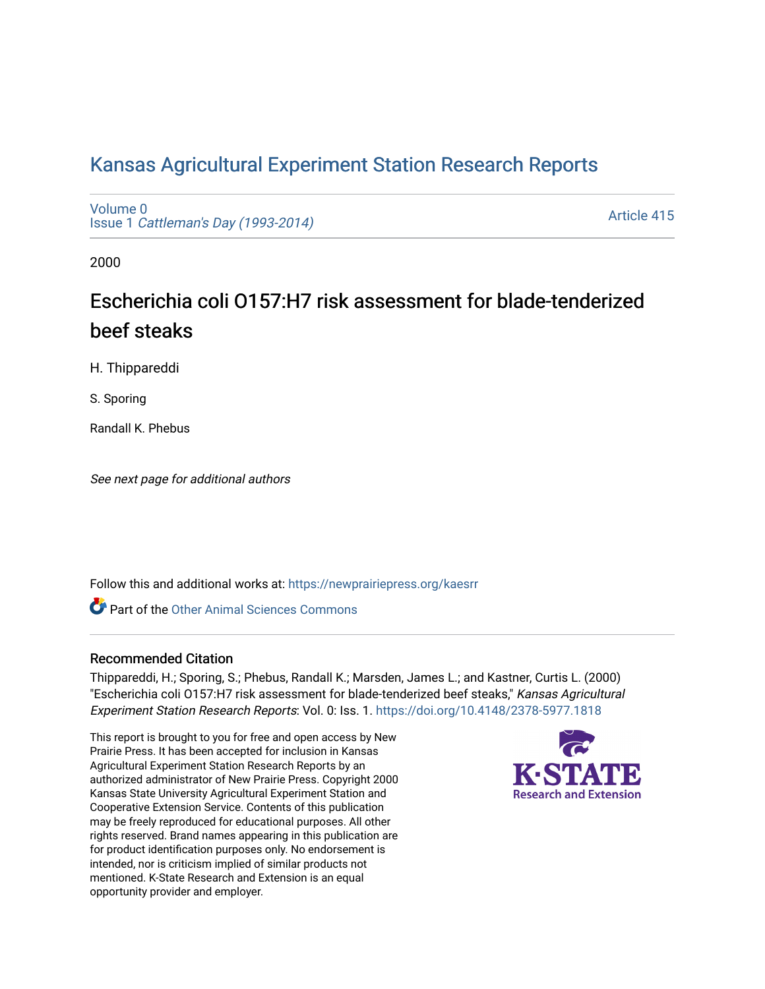# [Kansas Agricultural Experiment Station Research Reports](https://newprairiepress.org/kaesrr)

[Volume 0](https://newprairiepress.org/kaesrr/vol0) Issue 1 [Cattleman's Day \(1993-2014\)](https://newprairiepress.org/kaesrr/vol0/iss1) 

[Article 415](https://newprairiepress.org/kaesrr/vol0/iss1/415) 

2000

# Escherichia coli O157:H7 risk assessment for blade-tenderized beef steaks

H. Thippareddi

S. Sporing

Randall K. Phebus

See next page for additional authors

Follow this and additional works at: [https://newprairiepress.org/kaesrr](https://newprairiepress.org/kaesrr?utm_source=newprairiepress.org%2Fkaesrr%2Fvol0%2Fiss1%2F415&utm_medium=PDF&utm_campaign=PDFCoverPages) 

**C** Part of the [Other Animal Sciences Commons](http://network.bepress.com/hgg/discipline/82?utm_source=newprairiepress.org%2Fkaesrr%2Fvol0%2Fiss1%2F415&utm_medium=PDF&utm_campaign=PDFCoverPages)

#### Recommended Citation

Thippareddi, H.; Sporing, S.; Phebus, Randall K.; Marsden, James L.; and Kastner, Curtis L. (2000) "Escherichia coli O157:H7 risk assessment for blade-tenderized beef steaks," Kansas Agricultural Experiment Station Research Reports: Vol. 0: Iss. 1. <https://doi.org/10.4148/2378-5977.1818>

This report is brought to you for free and open access by New Prairie Press. It has been accepted for inclusion in Kansas Agricultural Experiment Station Research Reports by an authorized administrator of New Prairie Press. Copyright 2000 Kansas State University Agricultural Experiment Station and Cooperative Extension Service. Contents of this publication may be freely reproduced for educational purposes. All other rights reserved. Brand names appearing in this publication are for product identification purposes only. No endorsement is intended, nor is criticism implied of similar products not mentioned. K-State Research and Extension is an equal opportunity provider and employer.

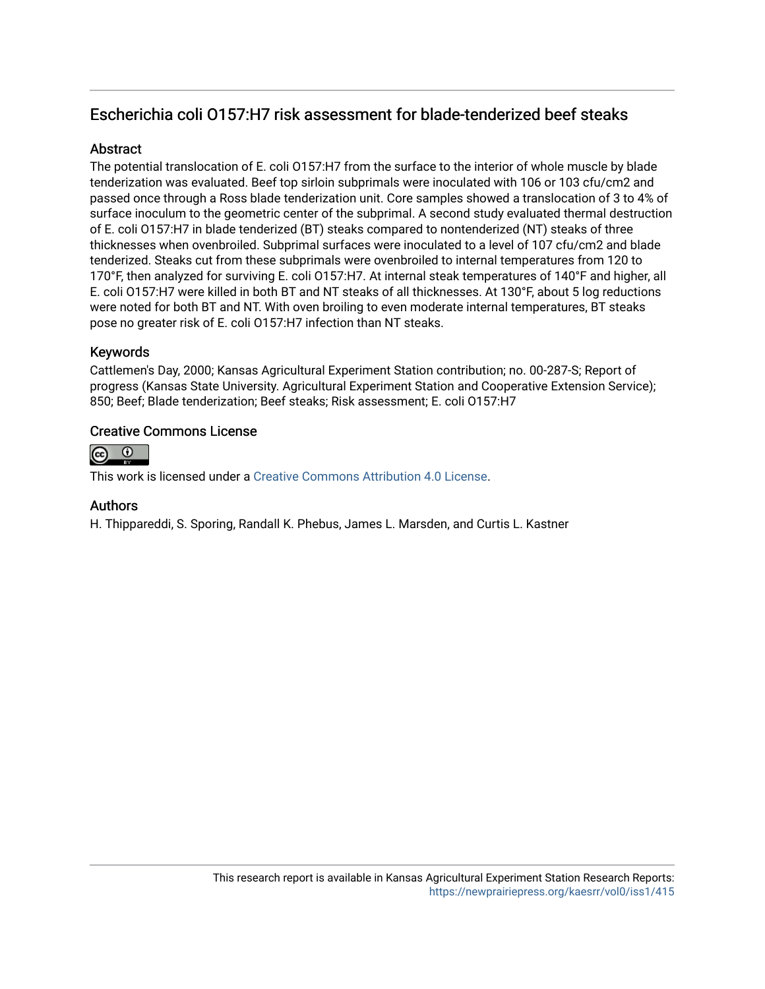## Escherichia coli O157:H7 risk assessment for blade-tenderized beef steaks

## **Abstract**

The potential translocation of E. coli O157:H7 from the surface to the interior of whole muscle by blade tenderization was evaluated. Beef top sirloin subprimals were inoculated with 106 or 103 cfu/cm2 and passed once through a Ross blade tenderization unit. Core samples showed a translocation of 3 to 4% of surface inoculum to the geometric center of the subprimal. A second study evaluated thermal destruction of E. coli O157:H7 in blade tenderized (BT) steaks compared to nontenderized (NT) steaks of three thicknesses when ovenbroiled. Subprimal surfaces were inoculated to a level of 107 cfu/cm2 and blade tenderized. Steaks cut from these subprimals were ovenbroiled to internal temperatures from 120 to 170°F, then analyzed for surviving E. coli O157:H7. At internal steak temperatures of 140°F and higher, all E. coli O157:H7 were killed in both BT and NT steaks of all thicknesses. At 130°F, about 5 log reductions were noted for both BT and NT. With oven broiling to even moderate internal temperatures, BT steaks pose no greater risk of E. coli O157:H7 infection than NT steaks.

## Keywords

Cattlemen's Day, 2000; Kansas Agricultural Experiment Station contribution; no. 00-287-S; Report of progress (Kansas State University. Agricultural Experiment Station and Cooperative Extension Service); 850; Beef; Blade tenderization; Beef steaks; Risk assessment; E. coli O157:H7

## Creative Commons License



This work is licensed under a [Creative Commons Attribution 4.0 License](https://creativecommons.org/licenses/by/4.0/).

## Authors

H. Thippareddi, S. Sporing, Randall K. Phebus, James L. Marsden, and Curtis L. Kastner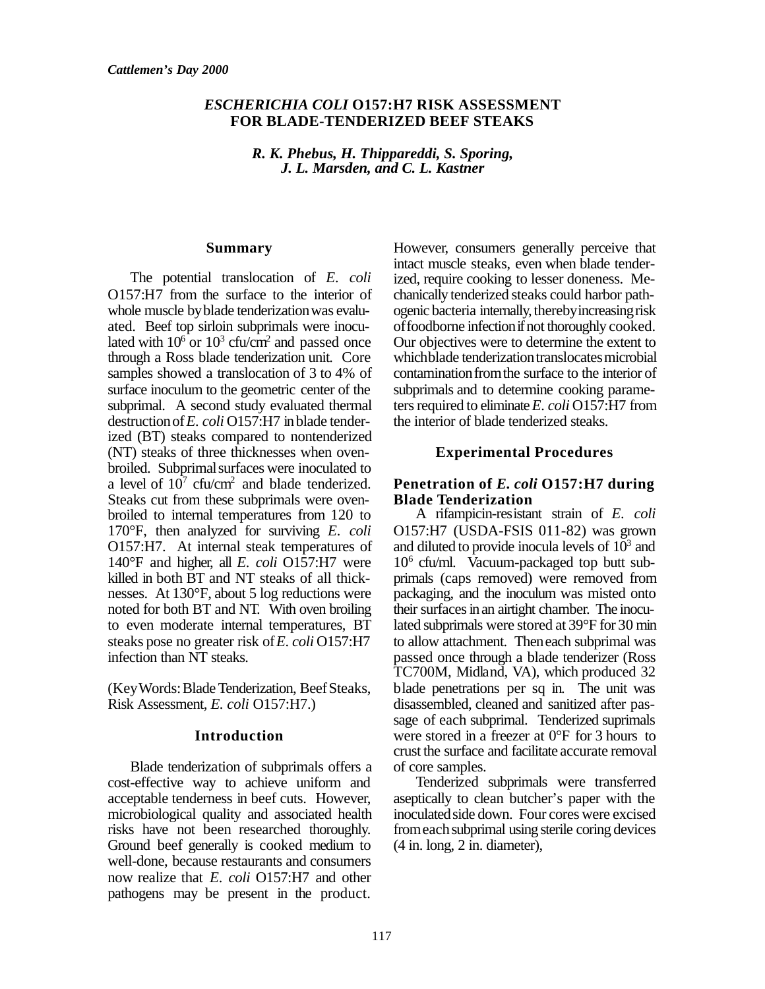#### *ESCHERICHIA COLI* **O157:H7 RISK ASSESSMENT FOR BLADE-TENDERIZED BEEF STEAKS**

*R. K. Phebus, H. Thippareddi, S. Sporing, J. L. Marsden, and C. L. Kastner*

#### **Summary**

The potential translocation of *E. coli* O157:H7 from the surface to the interior of whole muscle by blade tenderization was evaluated. Beef top sirloin subprimals were inoculated with  $10^6$  or  $10^3$  cfu/cm<sup>2</sup> and passed once through a Ross blade tenderization unit. Core samples showed a translocation of 3 to 4% of surface inoculum to the geometric center of the subprimal. A second study evaluated thermal destructionof*E. coli* O157:H7 inblade tenderized (BT) steaks compared to nontenderized (NT) steaks of three thicknesses when ovenbroiled. Subprimal surfaces were inoculated to a level of  $10^7$  cfu/cm<sup>2</sup> and blade tenderized. Steaks cut from these subprimals were ovenbroiled to internal temperatures from 120 to 170°F, then analyzed for surviving *E. coli* O157:H7. At internal steak temperatures of 140°F and higher, all *E. coli* O157:H7 were killed in both BT and NT steaks of all thicknesses. At 130°F, about 5 log reductions were noted for both BT and NT. With oven broiling to even moderate internal temperatures, BT steaks pose no greater risk of*E. coli* O157:H7 infection than NT steaks.

(KeyWords:Blade Tenderization, BeefSteaks, Risk Assessment, *E. coli* O157:H7.)

#### **Introduction**

Blade tenderization of subprimals offers a cost-effective way to achieve uniform and acceptable tenderness in beef cuts. However, microbiological quality and associated health risks have not been researched thoroughly. Ground beef generally is cooked medium to well-done, because restaurants and consumers now realize that *E. coli* O157:H7 and other pathogens may be present in the product.

However, consumers generally perceive that intact muscle steaks, even when blade tenderized, require cooking to lesser doneness. Mechanically tenderized steaks could harbor pathogenic bacteria internally, therebyincreasingrisk offoodborne infectionifnot thoroughly cooked. Our objectives were to determine the extent to whichblade tenderization translocates microbial contamination from the surface to the interior of subprimals and to determine cooking parameters required to eliminate *E. coli* O157:H7 from the interior of blade tenderized steaks.

#### **Experimental Procedures**

### **Penetration of** *E. coli* **O157:H7 during Blade Tenderization**

A rifampicin-resistant strain of *E. coli* O157:H7 (USDA-FSIS 011-82) was grown and diluted to provide inocula levels of  $10<sup>3</sup>$  and 10<sup>6</sup> cfu/ml. Vacuum-packaged top butt subprimals (caps removed) were removed from packaging, and the inoculum was misted onto their surfacesinan airtight chamber. The inoculated subprimals were stored at 39°F for 30 min to allow attachment. Theneach subprimal was passed once through a blade tenderizer (Ross TC700M, Midland, VA), which produced 32 blade penetrations per sq in. The unit was disassembled, cleaned and sanitized after passage of each subprimal. Tenderized suprimals were stored in a freezer at  $0^{\circ}$ F for 3 hours to crust the surface and facilitate accurate removal of core samples.

Tenderized subprimals were transferred aseptically to clean butcher's paper with the inoculated side down. Four cores were excised from each subprimal using sterile coring devices (4 in. long, 2 in. diameter),